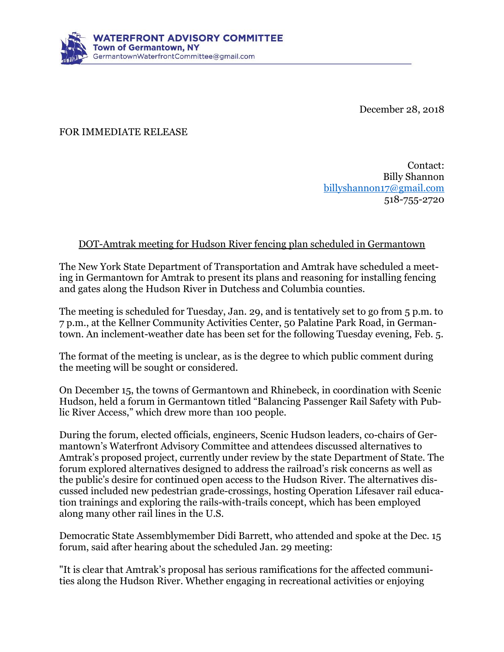

December 28, 2018

FOR IMMEDIATE RELEASE

Contact: Billy Shannon [billyshannon17@gmail.com](mailto:billyshannon17@gmail.com) 518-755-2720

## DOT-Amtrak meeting for Hudson River fencing plan scheduled in Germantown

The New York State Department of Transportation and Amtrak have scheduled a meeting in Germantown for Amtrak to present its plans and reasoning for installing fencing and gates along the Hudson River in Dutchess and Columbia counties.

The meeting is scheduled for Tuesday, Jan. 29, and is tentatively set to go from 5 p.m. to 7 p.m., at the Kellner Community Activities Center, 50 Palatine Park Road, in Germantown. An inclement-weather date has been set for the following Tuesday evening, Feb. 5.

The format of the meeting is unclear, as is the degree to which public comment during the meeting will be sought or considered.

On December 15, the towns of Germantown and Rhinebeck, in coordination with Scenic Hudson, held a forum in Germantown titled "Balancing Passenger Rail Safety with Public River Access," which drew more than 100 people.

During the forum, elected officials, engineers, Scenic Hudson leaders, co-chairs of Germantown's Waterfront Advisory Committee and attendees discussed alternatives to Amtrak's proposed project, currently under review by the state Department of State. The forum explored alternatives designed to address the railroad's risk concerns as well as the public's desire for continued open access to the Hudson River. The alternatives discussed included new pedestrian grade-crossings, hosting Operation Lifesaver rail education trainings and exploring the rails-with-trails concept, which has been employed along many other rail lines in the U.S.

Democratic State Assemblymember Didi Barrett, who attended and spoke at the Dec. 15 forum, said after hearing about the scheduled Jan. 29 meeting:

"It is clear that Amtrak's proposal has serious ramifications for the affected communities along the Hudson River. Whether engaging in recreational activities or enjoying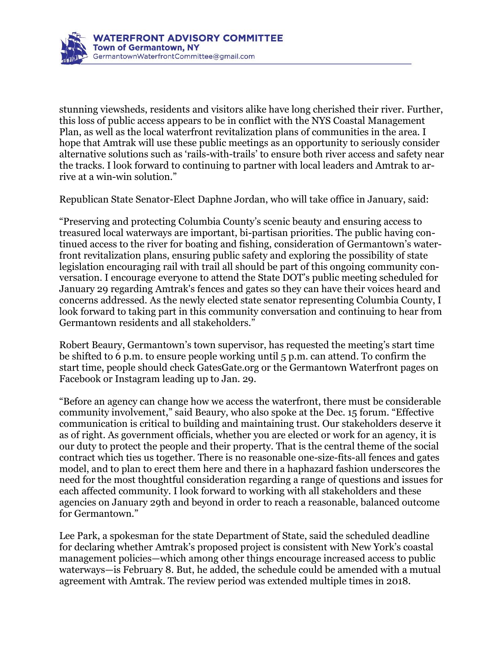

stunning viewsheds, residents and visitors alike have long cherished their river. Further, this loss of public access appears to be in conflict with the NYS Coastal Management Plan, as well as the local waterfront revitalization plans of communities in the area. I hope that Amtrak will use these public meetings as an opportunity to seriously consider alternative solutions such as 'rails-with-trails' to ensure both river access and safety near the tracks. I look forward to continuing to partner with local leaders and Amtrak to arrive at a win-win solution."

Republican State Senator-Elect Daphne Jordan, who will take office in January, said:

"Preserving and protecting Columbia County's scenic beauty and ensuring access to treasured local waterways are important, bi-partisan priorities. The public having continued access to the river for boating and fishing, consideration of Germantown's waterfront revitalization plans, ensuring public safety and exploring the possibility of state legislation encouraging rail with trail all should be part of this ongoing community conversation. I encourage everyone to attend the State DOT's public meeting scheduled for January 29 regarding Amtrak's fences and gates so they can have their voices heard and concerns addressed. As the newly elected state senator representing Columbia County, I look forward to taking part in this community conversation and continuing to hear from Germantown residents and all stakeholders."

Robert Beaury, Germantown's town supervisor, has requested the meeting's start time be shifted to 6 p.m. to ensure people working until 5 p.m. can attend. To confirm the start time, people should check GatesGate.org or the Germantown Waterfront pages on Facebook or Instagram leading up to Jan. 29.

"Before an agency can change how we access the waterfront, there must be considerable community involvement," said Beaury, who also spoke at the Dec. 15 forum. "Effective communication is critical to building and maintaining trust. Our stakeholders deserve it as of right. As government officials, whether you are elected or work for an agency, it is our duty to protect the people and their property. That is the central theme of the social contract which ties us together. There is no reasonable one-size-fits-all fences and gates model, and to plan to erect them here and there in a haphazard fashion underscores the need for the most thoughtful consideration regarding a range of questions and issues for each affected community. I look forward to working with all stakeholders and these agencies on January 29th and beyond in order to reach a reasonable, balanced outcome for Germantown."

Lee Park, a spokesman for the state Department of State, said the scheduled deadline for declaring whether Amtrak's proposed project is consistent with New York's coastal management policies—which among other things encourage increased access to public waterways—is February 8. But, he added, the schedule could be amended with a mutual agreement with Amtrak. The review period was extended multiple times in 2018.